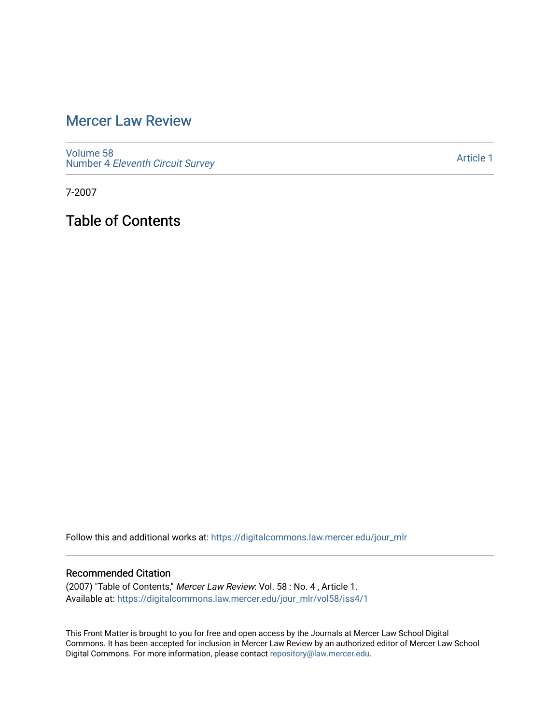# [Mercer Law Review](https://digitalcommons.law.mercer.edu/jour_mlr)

[Volume 58](https://digitalcommons.law.mercer.edu/jour_mlr/vol58) Number 4 [Eleventh Circuit Survey](https://digitalcommons.law.mercer.edu/jour_mlr/vol58/iss4) 

[Article 1](https://digitalcommons.law.mercer.edu/jour_mlr/vol58/iss4/1) 

7-2007

Table of Contents

Follow this and additional works at: [https://digitalcommons.law.mercer.edu/jour\\_mlr](https://digitalcommons.law.mercer.edu/jour_mlr?utm_source=digitalcommons.law.mercer.edu%2Fjour_mlr%2Fvol58%2Fiss4%2F1&utm_medium=PDF&utm_campaign=PDFCoverPages)

#### Recommended Citation

(2007) "Table of Contents," Mercer Law Review: Vol. 58 : No. 4 , Article 1. Available at: [https://digitalcommons.law.mercer.edu/jour\\_mlr/vol58/iss4/1](https://digitalcommons.law.mercer.edu/jour_mlr/vol58/iss4/1?utm_source=digitalcommons.law.mercer.edu%2Fjour_mlr%2Fvol58%2Fiss4%2F1&utm_medium=PDF&utm_campaign=PDFCoverPages)

This Front Matter is brought to you for free and open access by the Journals at Mercer Law School Digital Commons. It has been accepted for inclusion in Mercer Law Review by an authorized editor of Mercer Law School Digital Commons. For more information, please contact [repository@law.mercer.edu](mailto:repository@law.mercer.edu).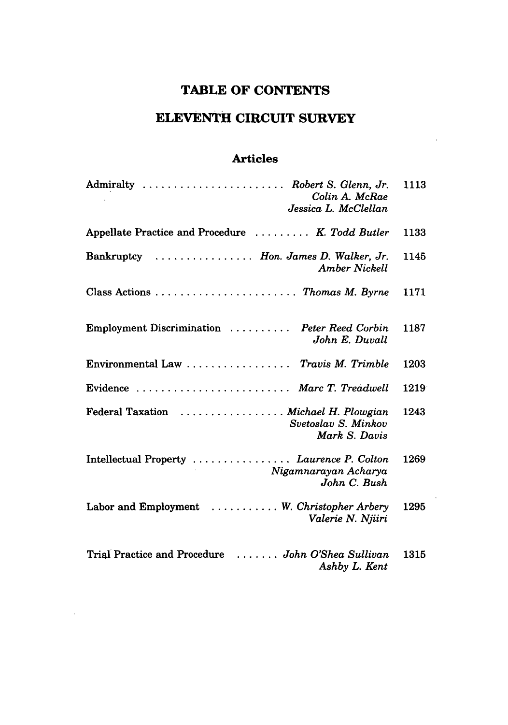# **TABLE OF CONTENTS**

# **ELEVENTH CIRCUIT SURVEY**

### **Articles**

| Admiralty  Robert S. Glenn, Jr.<br>Colin A. McRae<br>Jessica L. McClellan                            | 1113 |
|------------------------------------------------------------------------------------------------------|------|
| Appellate Practice and Procedure  K. Todd Butler                                                     | 1133 |
| Bankruptcy  Hon. James D. Walker, Jr.<br><b>Amber Nickell</b>                                        | 1145 |
| Class Actions  Thomas M. Byrne                                                                       | 1171 |
| Employment Discrimination  Peter Reed Corbin<br>John E. Duvall                                       | 1187 |
| Environmental Law  Travis M. Trimble                                                                 | 1203 |
| Evidence  Marc T. Treadwell                                                                          | 1219 |
| Federal Taxation  Michael H. Plowgian<br>Svetoslav S. Minkov<br>Mark S. Davis                        | 1243 |
| Intellectual Property  Laurence P. Colton<br>and the company<br>Nigamnarayan Acharya<br>John C. Bush | 1269 |
| Labor and Employment  W. Christopher Arbery<br>Valerie N. Njiiri                                     | 1295 |
| Trial Practice and Procedure  John O'Shea Sullivan<br>Ashby L. Kent                                  | 1315 |

 $\sim 10^7$ 

 $\ddot{\phantom{a}}$